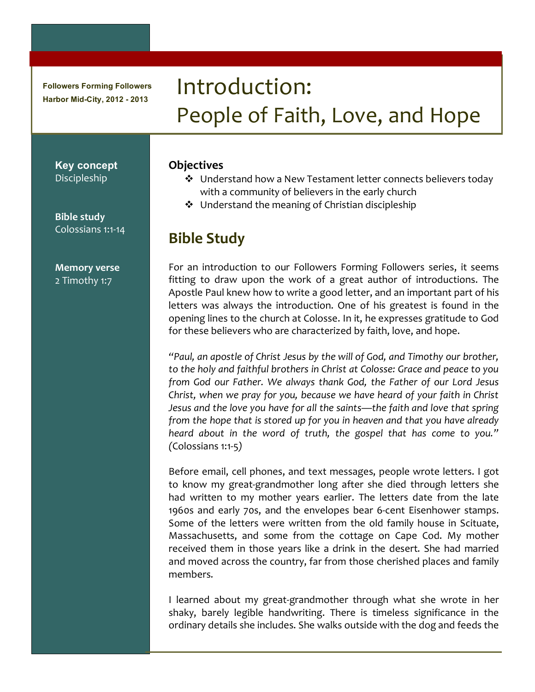**Followers Forming Followers Harbor Mid-City, 2012 - 2013**

# Introduction:) People of Faith, Love, and Hope

**Key concept** Discipleship

**Bible study** Colossians 1:1-14

**Memory!verse** 2 Timothy 1:7

#### **Objectives**

- ❖ Understand how a New Testament letter connects believers today with a community of believers in the early church
- $\triangleleft$  Understand the meaning of Christian discipleship

## **Bible!Study**

For an introduction to our Followers Forming Followers series, it seems fitting to draw upon the work of a great author of introductions. The Apostle Paul knew how to write a good letter, and an important part of his letters was always the introduction. One of his greatest is found in the opening lines to the church at Colosse. In it, he expresses gratitude to God for these believers who are characterized by faith, love, and hope.

*"Paul,'an'apostle'of'Christ'Jesus'by'the'will'of'God,'and'Timothy'our'brother,'* to the holy and faithful brothers in Christ at Colosse: Grace and peace to you *from' God' our' Father.' We' always' thank' God,' the' Father' of' our' Lord' Jesus' Christ,'when'we'pray'for'you,'because'we'have'heard'of'your'faith'in'Christ' Jesus'and'the'love'you'have'for'all'the'saints—the'faith'and'love'that'spring' from'the'hope'that'is'stored'up'for'you'in'heaven'and'that'you'have'already'* heard about in the word of truth, the gospel that has come to you." *(*Colossians)1:105*)*

Before email, cell phones, and text messages, people wrote letters. I got to know my great-grandmother long after she died through letters she had written to my mother years earlier. The letters date from the late 1960s and early 70s, and the envelopes bear 6-cent Eisenhower stamps. Some of the letters were written from the old family house in Scituate, Massachusetts, and some from the cottage on Cape Cod. My mother received them in those years like a drink in the desert. She had married and moved across the country, far from those cherished places and family members.

I learned about my great-grandmother through what she wrote in her shaky, barely legible handwriting. There is timeless significance in the ordinary details she includes. She walks outside with the dog and feeds the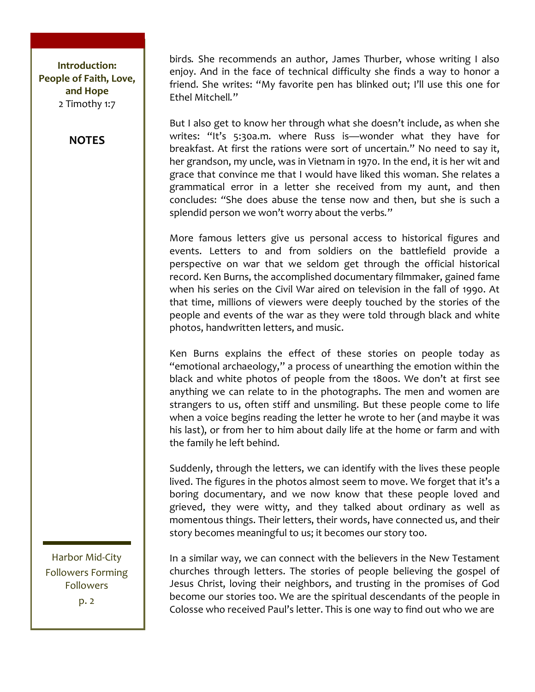**NOTES**

birds. She recommends an author, James Thurber, whose writing I also enjoy. And in the face of technical difficulty she finds a way to honor a friend. She writes: "My favorite pen has blinked out; I'll use this one for Ethel Mitchell."

But I also get to know her through what she doesn't include, as when she writes: "It's 5:30a.m. where Russ is—wonder what they have for breakfast. At first the rations were sort of uncertain." No need to say it, her grandson, my uncle, was in Vietnam in 1970. In the end, it is her wit and grace that convince me that I would have liked this woman. She relates a grammatical error in a letter she received from my aunt, and then concludes: "She does abuse the tense now and then, but she is such a splendid person we won't worry about the verbs."

More famous letters give us personal access to historical figures and events. Letters to and from soldiers on the battlefield provide a perspective on war that we seldom get through the official historical record. Ken Burns, the accomplished documentary filmmaker, gained fame when his series on the Civil War aired on television in the fall of 1990. At that time, millions of viewers were deeply touched by the stories of the people and events of the war as they were told through black and white photos, handwritten letters, and music.

Ken Burns explains the effect of these stories on people today as "emotional archaeology," a process of unearthing the emotion within the black and white photos of people from the 1800s. We don't at first see anything we can relate to in the photographs. The men and women are strangers to us, often stiff and unsmiling. But these people come to life when a voice begins reading the letter he wrote to her (and maybe it was) his last), or from her to him about daily life at the home or farm and with the family he left behind.

Suddenly, through the letters, we can identify with the lives these people lived. The figures in the photos almost seem to move. We forget that it's a boring documentary, and we now know that these people loved and grieved, they were witty, and they talked about ordinary as well as momentous things. Their letters, their words, have connected us, and their story becomes meaningful to us; it becomes our story too.

In a similar way, we can connect with the believers in the New Testament churches through letters. The stories of people believing the gospel of Jesus Christ, loving their neighbors, and trusting in the promises of God become our stories too. We are the spiritual descendants of the people in Colosse who received Paul's letter. This is one way to find out who we are

Harbor Mid-City Followers Forming Followers

p. 2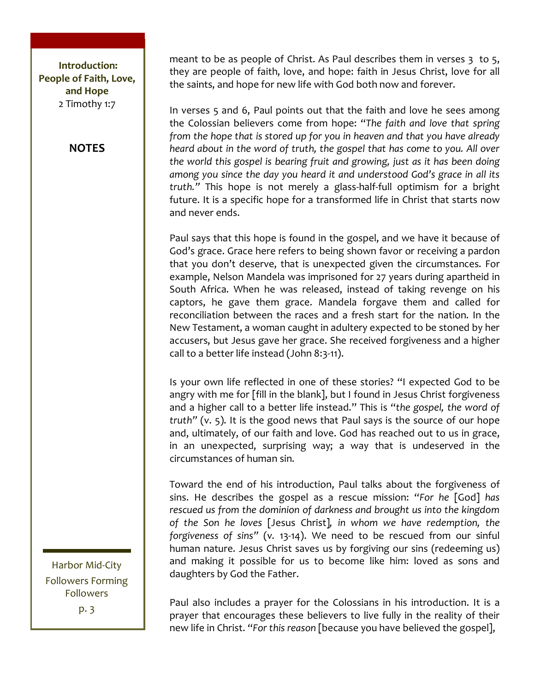#### **NOTES**

meant to be as people of Christ. As Paul describes them in verses  $3$  to  $5$ , they are people of faith, love, and hope: faith in Jesus Christ, love for all the saints, and hope for new life with God both now and forever.

In verses 5 and 6, Paul points out that the faith and love he sees among the) Colossian) believers) come) from) hope:) "*The' faith' and' love' that'spring' from'the'hope'that'is'stored'up'for'you'in'heaven'and'that'you'have'already'* heard about in the word of truth, the gospel that has come to you. All over the world this gospel is bearing fruit and growing, just as it has been doing among you since the day you heard it and understood God's grace in all its *truth."* This hope is not merely a glass-half-full optimism for a bright future. It is a specific hope for a transformed life in Christ that starts now and never ends.

Paul says that this hope is found in the gospel, and we have it because of God's grace. Grace here refers to being shown favor or receiving a pardon that you don't deserve, that is unexpected given the circumstances. For example, Nelson Mandela was imprisoned for 27 years during apartheid in South Africa. When he was released, instead of taking revenge on his captors, he gave them grace. Mandela forgave them and called for reconciliation) between the races and a fresh start for the nation. In the New Testament, a woman caught in adultery expected to be stoned by her accusers, but Jesus gave her grace. She received forgiveness and a higher call to a better life instead (John 8:3-11).

Is your own life reflected in one of these stories? "I expected God to be angry with me for [fill in the blank], but I found in Jesus Christ forgiveness and a higher call to a better life instead." This is "the gospel, the word of *truth"* (v. 5). It is the good news that Paul says is the source of our hope and, ultimately, of our faith and love. God has reached out to us in grace, in an unexpected, surprising way; a way that is undeserved in the circumstances of human sin.

Toward the end of his introduction, Paul talks about the forgiveness of sins.) He) describes) the) gospel) as) a) rescue) mission:) "*For' he'* [God]*' has'* rescued us from the dominion of darkness and brought us into the kingdom *of' the' Son' he' loves'* [Jesus) Christ]*,' in' whom' we' have' redemption,' the' forgiveness of sins"* (v. 13-14). We need to be rescued from our sinful human nature. Jesus Christ saves us by forgiving our sins (redeeming us) and making it possible for us to become like him: loved as sons and daughters by God the Father.

Paul also includes a prayer for the Colossians in his introduction. It is a prayer that encourages these believers to live fully in the reality of their new life in Christ. "For this reason [because you have believed the gospel],

Harbor Mid-City Followers Forming Followers p. 3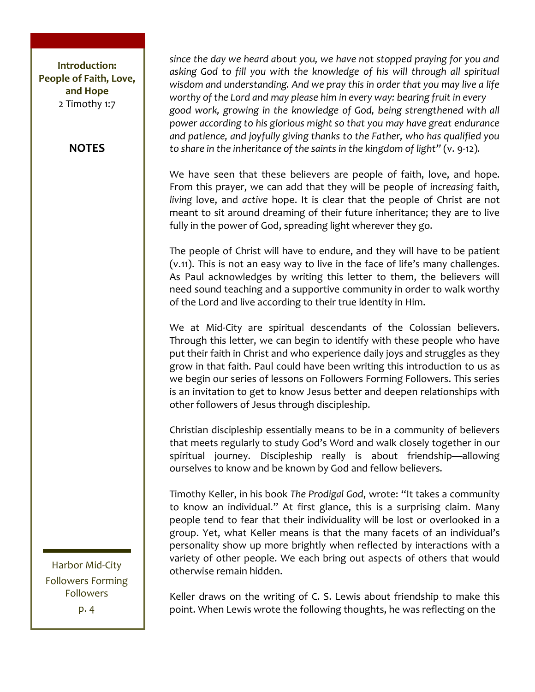#### **NOTES**

*since'the'day'we'heard'about'you,'we'have'not'stopped'praying'for'you'and' asking' God' to' fill' you' with' the' knowledge' of' his' will' through' all' spiritual'* wisdom and understanding. And we pray this in order that you may live a life *worthy'of'the'Lord'and'may'please'him'in'every'way:'bearing'fruit'in'every' good'work,' growing' in' the' knowledge' of' God,' being' strengthened'with'all' power'according'to'his'glorious'might'so'that'you'may'have'great'endurance'* and patience, and joyfully giving thanks to the Father, who has qualified you *to* share in the inheritance of the saints in the kingdom of light" (v. 9-12).

We have seen that these believers are people of faith, love, and hope. From this prayer, we can add that they will be people of *increasing* faith, *living* love, and *active* hope. It is clear that the people of Christ are not meant to sit around dreaming of their future inheritance; they are to live fully in the power of God, spreading light wherever they go.

The people of Christ will have to endure, and they will have to be patient (v.11). This is not an easy way to live in the face of life's many challenges. As Paul acknowledges by writing this letter to them, the believers will need sound teaching and a supportive community in order to walk worthy of the Lord and live according to their true identity in Him.

We at Mid-City are spiritual descendants of the Colossian believers. Through this letter, we can begin to identify with these people who have put their faith in Christ and who experience daily joys and struggles as they grow in that faith. Paul could have been writing this introduction to us as we begin our series of lessons on Followers Forming Followers. This series is an invitation to get to know Jesus better and deepen relationships with other followers of Jesus through discipleship.

Christian discipleship essentially means to be in a community of believers that meets regularly to study God's Word and walk closely together in our spiritual journey. Discipleship really is about friendship—allowing ourselves to know and be known by God and fellow believers.

Timothy Keller, in his book The Prodigal God, wrote: "It takes a community to know an individual." At first glance, this is a surprising claim. Many people tend to fear that their individuality will be lost or overlooked in a group. Yet, what Keller means is that the many facets of an individual's personality show up more brightly when reflected by interactions with a variety of other people. We each bring out aspects of others that would otherwise remain hidden.

Harbor Mid-City Followers Forming Followers p. 4

Keller draws on the writing of C. S. Lewis about friendship to make this point. When Lewis wrote the following thoughts, he was reflecting on the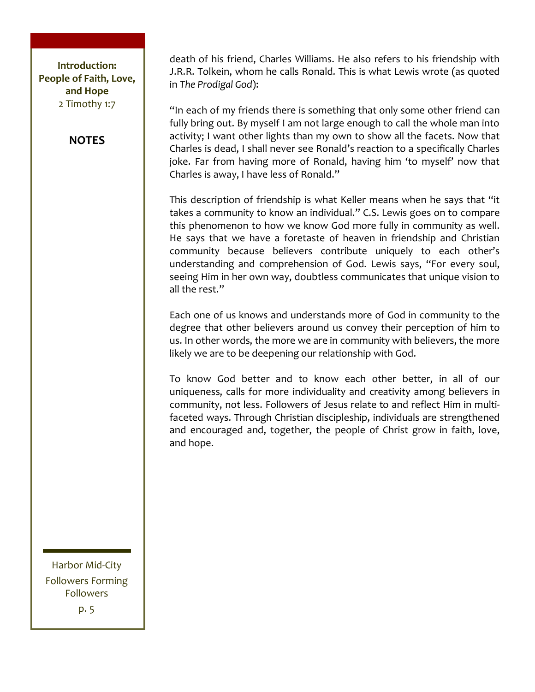#### **NOTES**

death of his friend, Charles Williams. He also refers to his friendship with J.R.R. Tolkein, whom he calls Ronald. This is what Lewis wrote (as quoted in)*The'Prodigal'God*):

"In each of my friends there is something that only some other friend can fully bring out. By myself I am not large enough to call the whole man into activity; I want other lights than my own to show all the facets. Now that Charles is dead, I shall never see Ronald's reaction to a specifically Charles joke. Far from having more of Ronald, having him 'to myself' now that Charles is away, I have less of Ronald."

This description of friendship is what Keller means when he says that "it takes a community to know an individual." C.S. Lewis goes on to compare this phenomenon to how we know God more fully in community as well. He says that we have a foretaste of heaven in friendship and Christian community because believers contribute uniquely to each other's understanding and comprehension of God. Lewis says, "For every soul, seeing Him in her own way, doubtless communicates that unique vision to all the rest."

Each one of us knows and understands more of God in community to the degree that other believers around us convey their perception of him to us. In other words, the more we are in community with believers, the more likely we are to be deepening our relationship with God.

To know God better and to know each other better, in all of our uniqueness, calls for more individuality and creativity among believers in community, not less. Followers of Jesus relate to and reflect Him in multifaceted ways. Through Christian discipleship, individuals are strengthened and encouraged and, together, the people of Christ grow in faith, love, and hope.

Harbor Mid-City Followers Forming Followers p. 5